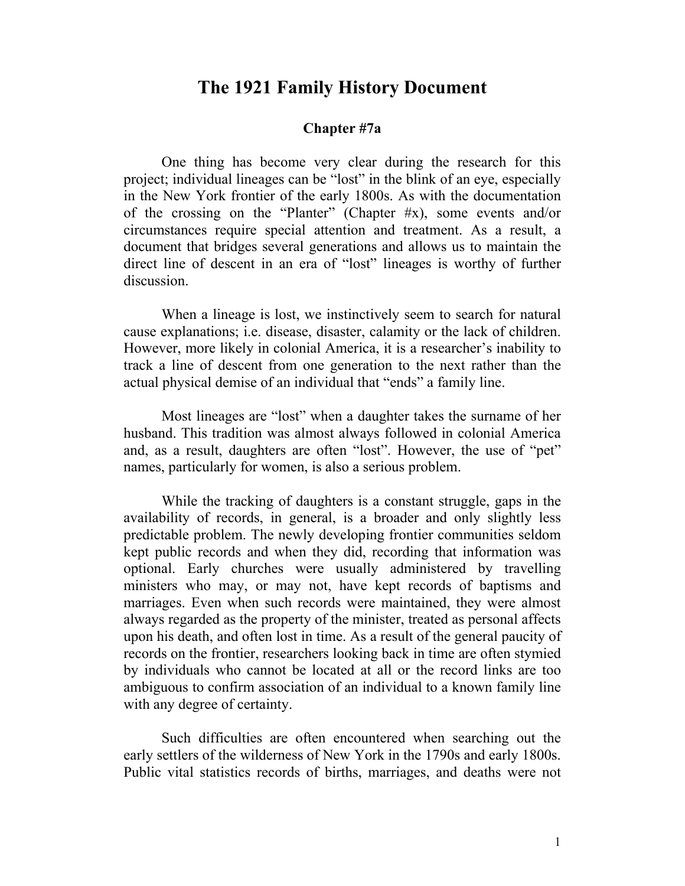# **The 1921 Family History Document**

## **Chapter #7a**

One thing has become very clear during the research for this project; individual lineages can be "lost" in the blink of an eye, especially in the New York frontier of the early 1800s. As with the documentation of the crossing on the "Planter" (Chapter #x), some events and/or circumstances require special attention and treatment. As a result, a document that bridges several generations and allows us to maintain the direct line of descent in an era of "lost" lineages is worthy of further discussion.

When a lineage is lost, we instinctively seem to search for natural cause explanations; i.e. disease, disaster, calamity or the lack of children. However, more likely in colonial America, it is a researcher's inability to track a line of descent from one generation to the next rather than the actual physical demise of an individual that "ends" a family line.

Most lineages are "lost" when a daughter takes the surname of her husband. This tradition was almost always followed in colonial America and, as a result, daughters are often "lost". However, the use of "pet" names, particularly for women, is also a serious problem.

While the tracking of daughters is a constant struggle, gaps in the availability of records, in general, is a broader and only slightly less predictable problem. The newly developing frontier communities seldom kept public records and when they did, recording that information was optional. Early churches were usually administered by travelling ministers who may, or may not, have kept records of baptisms and marriages. Even when such records were maintained, they were almost always regarded as the property of the minister, treated as personal affects upon his death, and often lost in time. As a result of the general paucity of records on the frontier, researchers looking back in time are often stymied by individuals who cannot be located at all or the record links are too ambiguous to confirm association of an individual to a known family line with any degree of certainty.

Such difficulties are often encountered when searching out the early settlers of the wilderness of New York in the 1790s and early 1800s. Public vital statistics records of births, marriages, and deaths were not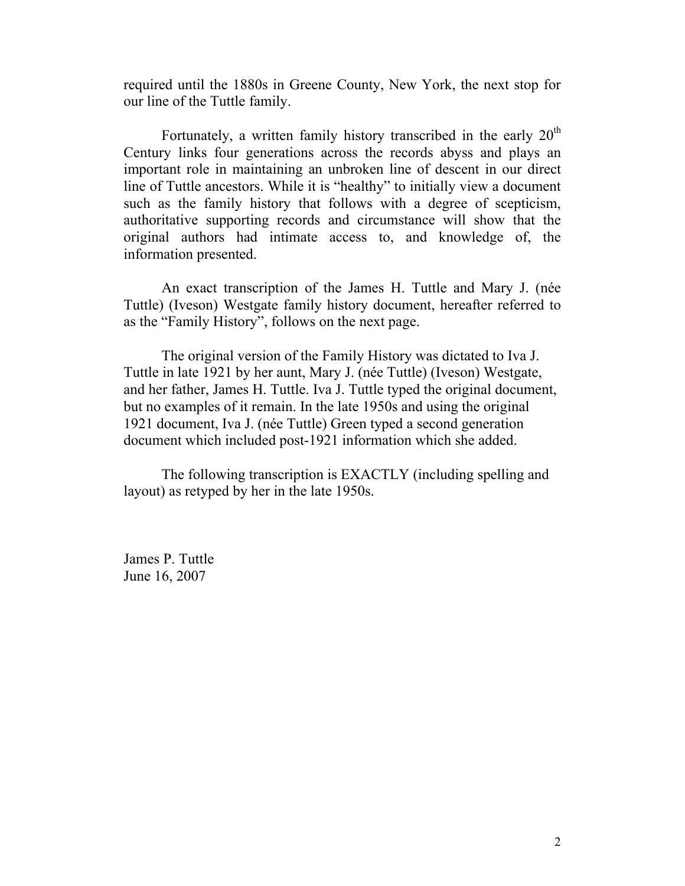required until the 1880s in Greene County, New York, the next stop for our line of the Tuttle family.

Fortunately, a written family history transcribed in the early  $20<sup>th</sup>$ Century links four generations across the records abyss and plays an important role in maintaining an unbroken line of descent in our direct line of Tuttle ancestors. While it is "healthy" to initially view a document such as the family history that follows with a degree of scepticism, authoritative supporting records and circumstance will show that the original authors had intimate access to, and knowledge of, the information presented.

An exact transcription of the James H. Tuttle and Mary J. (née Tuttle) (Iveson) Westgate family history document, hereafter referred to as the "Family History", follows on the next page.

The original version of the Family History was dictated to Iva J. Tuttle in late 1921 by her aunt, Mary J. (née Tuttle) (Iveson) Westgate, and her father, James H. Tuttle. Iva J. Tuttle typed the original document, but no examples of it remain. In the late 1950s and using the original 1921 document, Iva J. (née Tuttle) Green typed a second generation document which included post-1921 information which she added.

The following transcription is EXACTLY (including spelling and layout) as retyped by her in the late 1950s.

James P. Tuttle June 16, 2007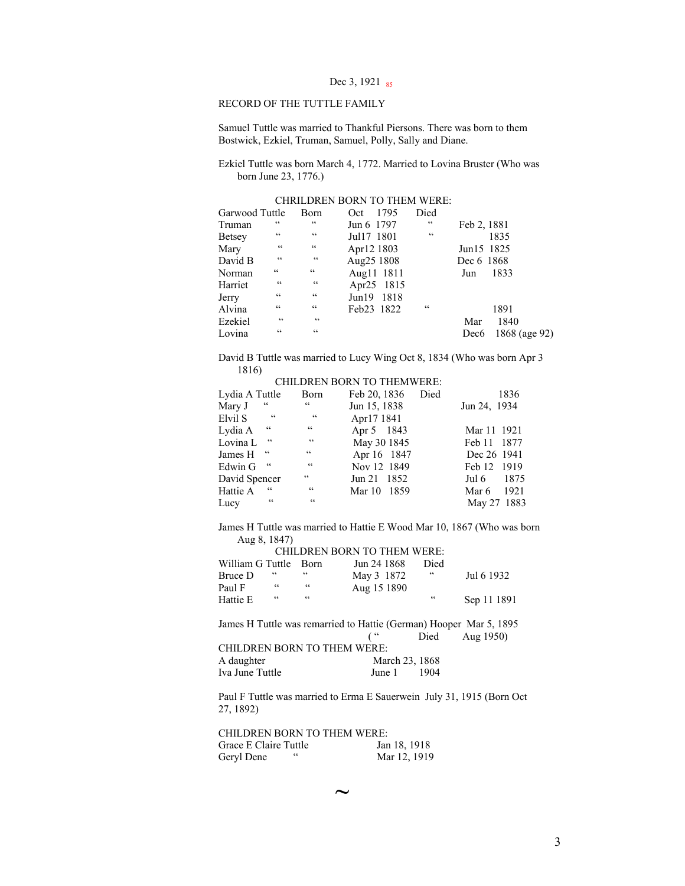#### RECORD OF THE TUTTLE FAMILY

Samuel Tuttle was married to Thankful Piersons. There was born to them Bostwick, Ezkiel, Truman, Samuel, Polly, Sally and Diane.

Ezkiel Tuttle was born March 4, 1772. Married to Lovina Bruster (Who was born June 23, 1776.)

| Garwood Tuttle |                 | Born            | 1795<br>Oct   | Died            |                  |               |
|----------------|-----------------|-----------------|---------------|-----------------|------------------|---------------|
| Truman         | $\epsilon$      | C C             | Jun 6 1797    | $\zeta$ $\zeta$ | Feb 2, 1881      |               |
| <b>Betsey</b>  | $\zeta$ $\zeta$ | $\zeta$ $\zeta$ | Jul17 1801    | $\zeta$ $\zeta$ |                  | 1835          |
| Mary           | $\zeta$ $\zeta$ | $\zeta$ $\zeta$ | Apr12 1803    |                 | Jun15 1825       |               |
| David B        | $\zeta$ $\zeta$ | C C             | Aug25 1808    |                 | Dec 6 1868       |               |
| Norman         | $\zeta$ $\zeta$ | $\zeta$ $\zeta$ | Aug11 1811    |                 | Jun              | 1833          |
| Harriet        | $\zeta$ $\zeta$ | $\zeta$ $\zeta$ | Apr25 1815    |                 |                  |               |
| Jerry          | $\zeta$ $\zeta$ | $\zeta$ $\zeta$ | Jun19<br>1818 |                 |                  |               |
| Alvina         | $\zeta$ $\zeta$ | $\zeta$ $\zeta$ | Feb23 1822    | $\zeta$ $\zeta$ |                  | 1891          |
| Ezekiel        | $\zeta$ $\zeta$ | $C \subset C$   |               |                 | Mar              | 1840          |
| Lovina         | $\zeta$ $\zeta$ | $\zeta$ $\zeta$ |               |                 | Dec <sub>6</sub> | 1868 (age 92) |

David B Tuttle was married to Lucy Wing Oct 8, 1834 (Who was born Apr 3 1816)

CHILDREN BORN TO THEMWERE:

| Lydia A Tuttle |                   | Born                                              | Feb 20, 1836 | Died | 1836          |
|----------------|-------------------|---------------------------------------------------|--------------|------|---------------|
| Mary J         | $\zeta$ $\zeta$   | 66                                                | Jun 15, 1838 |      | Jun 24, 1934  |
| Elvil S        | cc                | $\sim$                                            | Apr17 1841   |      |               |
| Lydia A        | $\zeta$ $\zeta$   | $\zeta$ $\zeta$                                   | Apr 5 1843   |      | Mar 11 1921   |
| Lovina L       | $\subset \subset$ | $\mathsf{c}\,\mathsf{c}$                          | May 30 1845  |      | Feb 11 1877   |
| James H        | $\epsilon$        | $\subset$                                         | Apr 16 1847  |      | Dec 26 1941   |
| Edwin G        | $\subset \subset$ | $\zeta$ $\zeta$                                   | Nov 12 1849  |      | Feb 12 1919   |
| David Spencer  |                   | $\zeta$ $\zeta$                                   | Jun 21 1852  |      | 1875<br>Jul 6 |
| Hattie A       | $\epsilon$        | $\zeta$ $\zeta$                                   | Mar 10 1859  |      | 1921<br>Mar 6 |
| Lucy           | $\zeta$ $\zeta$   | $\boldsymbol{\varsigma}$ $\boldsymbol{\varsigma}$ |              |      | May 27 1883   |

James H Tuttle was married to Hattie E Wood Mar 10, 1867 (Who was born Aug 8, 1847)

|                  |                 |                 | <b>CHILDREN BORN TO THEM WERE:</b>                                 |                 |             |
|------------------|-----------------|-----------------|--------------------------------------------------------------------|-----------------|-------------|
| William G Tuttle |                 | <b>Born</b>     | Jun 24 1868                                                        | Died            |             |
| Bruce D          | $\zeta$ $\zeta$ | $\zeta$ $\zeta$ | May 3 1872                                                         | $\zeta$ $\zeta$ | Jul 6 1932  |
| Paul F           | $\mathsf{cc}$   | $\zeta$ $\zeta$ | Aug 15 1890                                                        |                 |             |
| Hattie E         | C               | $\zeta$ $\zeta$ |                                                                    | C C             | Sep 11 1891 |
|                  |                 |                 |                                                                    |                 |             |
|                  |                 |                 | James H Tuttle was remarried to Hattie (German) Hooper Mar 5, 1895 |                 |             |
|                  |                 |                 |                                                                    | Died            | Aug 1950)   |
|                  |                 |                 | <b>CHILDREN BORN TO THEM WERE:</b>                                 |                 |             |
| A daughter       |                 |                 | March 23, 1868                                                     |                 |             |
| Iva June Tuttle  |                 |                 | June 1                                                             | 1904            |             |

Paul F Tuttle was married to Erma E Sauerwein July 31, 1915 (Born Oct 27, 1892)

| <b>CHILDREN BORN TO THEM WERE:</b> |              |
|------------------------------------|--------------|
| Grace E Claire Tuttle              | Jan 18, 1918 |
| Geryl Dene<br>$\epsilon$           | Mar 12, 1919 |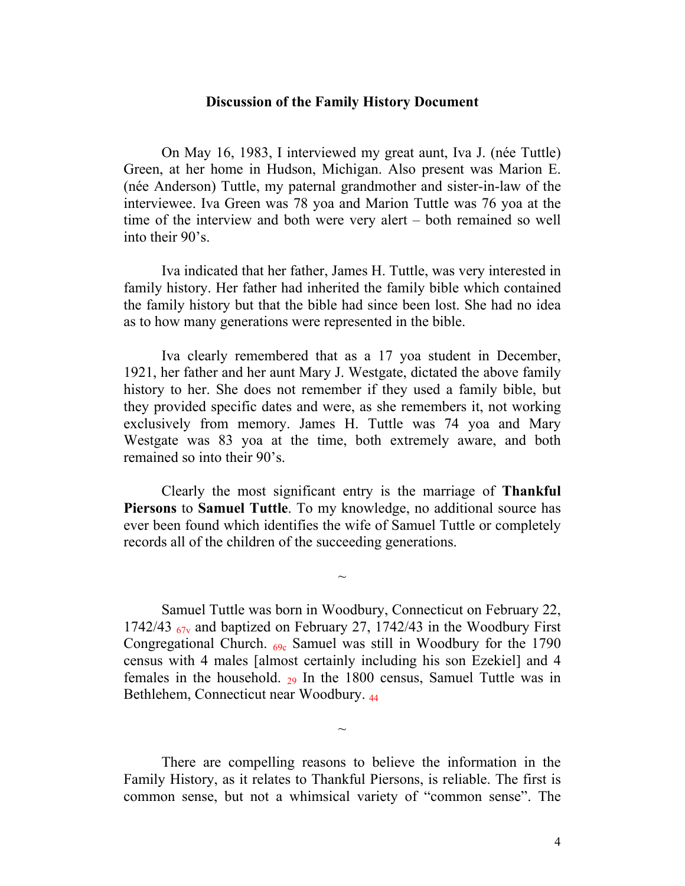#### **Discussion of the Family History Document**

On May 16, 1983, I interviewed my great aunt, Iva J. (née Tuttle) Green, at her home in Hudson, Michigan. Also present was Marion E. (née Anderson) Tuttle, my paternal grandmother and sister-in-law of the interviewee. Iva Green was 78 yoa and Marion Tuttle was 76 yoa at the time of the interview and both were very alert – both remained so well into their 90's.

Iva indicated that her father, James H. Tuttle, was very interested in family history. Her father had inherited the family bible which contained the family history but that the bible had since been lost. She had no idea as to how many generations were represented in the bible.

Iva clearly remembered that as a 17 yoa student in December, 1921, her father and her aunt Mary J. Westgate, dictated the above family history to her. She does not remember if they used a family bible, but they provided specific dates and were, as she remembers it, not working exclusively from memory. James H. Tuttle was 74 yoa and Mary Westgate was 83 yoa at the time, both extremely aware, and both remained so into their 90's.

Clearly the most significant entry is the marriage of **Thankful Piersons** to **Samuel Tuttle**. To my knowledge, no additional source has ever been found which identifies the wife of Samuel Tuttle or completely records all of the children of the succeeding generations.

 $\sim$ 

Samuel Tuttle was born in Woodbury, Connecticut on February 22, 1742/43  $_{67v}$  and baptized on February 27, 1742/43 in the Woodbury First Congregational Church. 69c Samuel was still in Woodbury for the 1790 census with 4 males [almost certainly including his son Ezekiel] and 4 females in the household.  $_{29}$  In the 1800 census, Samuel Tuttle was in Bethlehem, Connecticut near Woodbury. 44

There are compelling reasons to believe the information in the Family History, as it relates to Thankful Piersons, is reliable. The first is common sense, but not a whimsical variety of "common sense". The

 $\sim$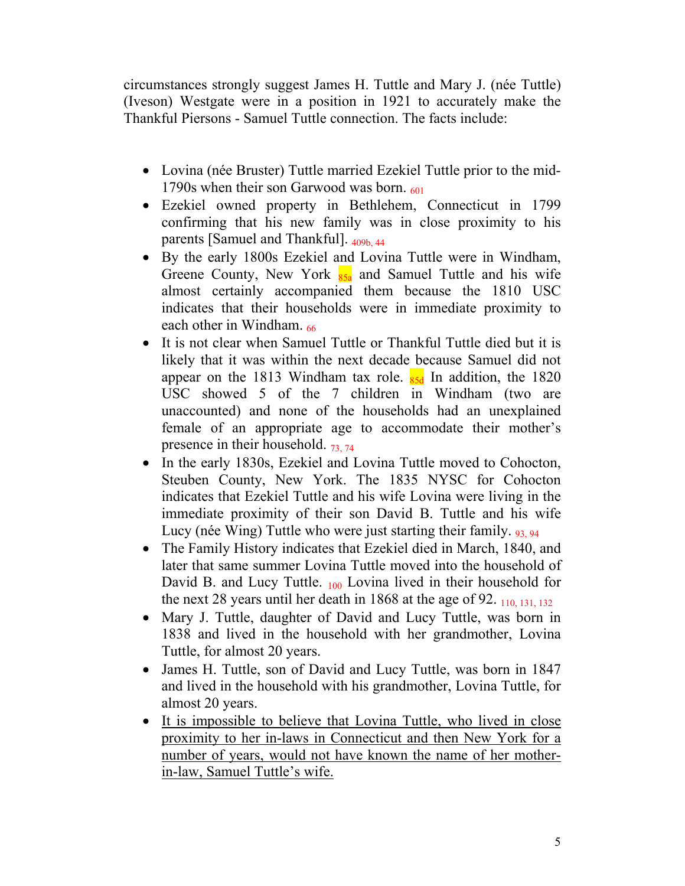circumstances strongly suggest James H. Tuttle and Mary J. (née Tuttle) (Iveson) Westgate were in a position in 1921 to accurately make the Thankful Piersons - Samuel Tuttle connection. The facts include:

- Lovina (née Bruster) Tuttle married Ezekiel Tuttle prior to the mid-1790s when their son Garwood was born.  $601$
- Ezekiel owned property in Bethlehem, Connecticut in 1799 confirming that his new family was in close proximity to his parents [Samuel and Thankful].  $_{409b, 44}$
- By the early 1800s Ezekiel and Lovina Tuttle were in Windham, Greene County, New York  $_{85a}$  and Samuel Tuttle and his wife almost certainly accompanied them because the 1810 USC indicates that their households were in immediate proximity to each other in Windham. 66
- It is not clear when Samuel Tuttle or Thankful Tuttle died but it is likely that it was within the next decade because Samuel did not appear on the 1813 Windham tax role.  $_{85d}$  In addition, the 1820 USC showed 5 of the 7 children in Windham (two are unaccounted) and none of the households had an unexplained female of an appropriate age to accommodate their mother's presence in their household.  $73, 74$
- In the early 1830s, Ezekiel and Lovina Tuttle moved to Cohocton, Steuben County, New York. The 1835 NYSC for Cohocton indicates that Ezekiel Tuttle and his wife Lovina were living in the immediate proximity of their son David B. Tuttle and his wife Lucy (née Wing) Tuttle who were just starting their family. 93, 94
- The Family History indicates that Ezekiel died in March, 1840, and later that same summer Lovina Tuttle moved into the household of David B. and Lucy Tuttle. 100 Lovina lived in their household for the next 28 years until her death in 1868 at the age of 92.  $\frac{110, 131, 132}{2}$
- Mary J. Tuttle, daughter of David and Lucy Tuttle, was born in 1838 and lived in the household with her grandmother, Lovina Tuttle, for almost 20 years.
- James H. Tuttle, son of David and Lucy Tuttle, was born in 1847 and lived in the household with his grandmother, Lovina Tuttle, for almost 20 years.
- It is impossible to believe that Lovina Tuttle, who lived in close proximity to her in-laws in Connecticut and then New York for a number of years, would not have known the name of her motherin-law, Samuel Tuttle's wife.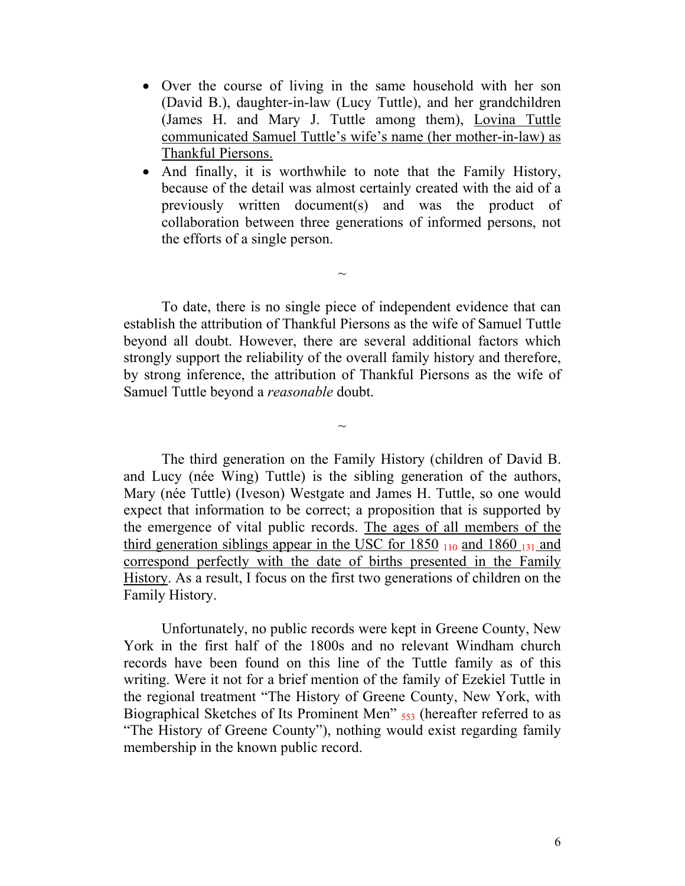- Over the course of living in the same household with her son (David B.), daughter-in-law (Lucy Tuttle), and her grandchildren (James H. and Mary J. Tuttle among them), Lovina Tuttle communicated Samuel Tuttle's wife's name (her mother-in-law) as Thankful Piersons.
- And finally, it is worthwhile to note that the Family History, because of the detail was almost certainly created with the aid of a previously written document(s) and was the product of collaboration between three generations of informed persons, not the efforts of a single person.

 To date, there is no single piece of independent evidence that can establish the attribution of Thankful Piersons as the wife of Samuel Tuttle beyond all doubt. However, there are several additional factors which strongly support the reliability of the overall family history and therefore, by strong inference, the attribution of Thankful Piersons as the wife of Samuel Tuttle beyond a *reasonable* doubt.

 $\sim$ 

 $\sim$ 

The third generation on the Family History (children of David B. and Lucy (née Wing) Tuttle) is the sibling generation of the authors, Mary (née Tuttle) (Iveson) Westgate and James H. Tuttle, so one would expect that information to be correct; a proposition that is supported by the emergence of vital public records. The ages of all members of the third generation siblings appear in the USC for  $1850$   $_{110}$  and  $1860$   $_{131}$  and correspond perfectly with the date of births presented in the Family History. As a result, I focus on the first two generations of children on the Family History.

 Unfortunately, no public records were kept in Greene County, New York in the first half of the 1800s and no relevant Windham church records have been found on this line of the Tuttle family as of this writing. Were it not for a brief mention of the family of Ezekiel Tuttle in the regional treatment "The History of Greene County, New York, with Biographical Sketches of Its Prominent Men"  $_{553}$  (hereafter referred to as "The History of Greene County"), nothing would exist regarding family membership in the known public record.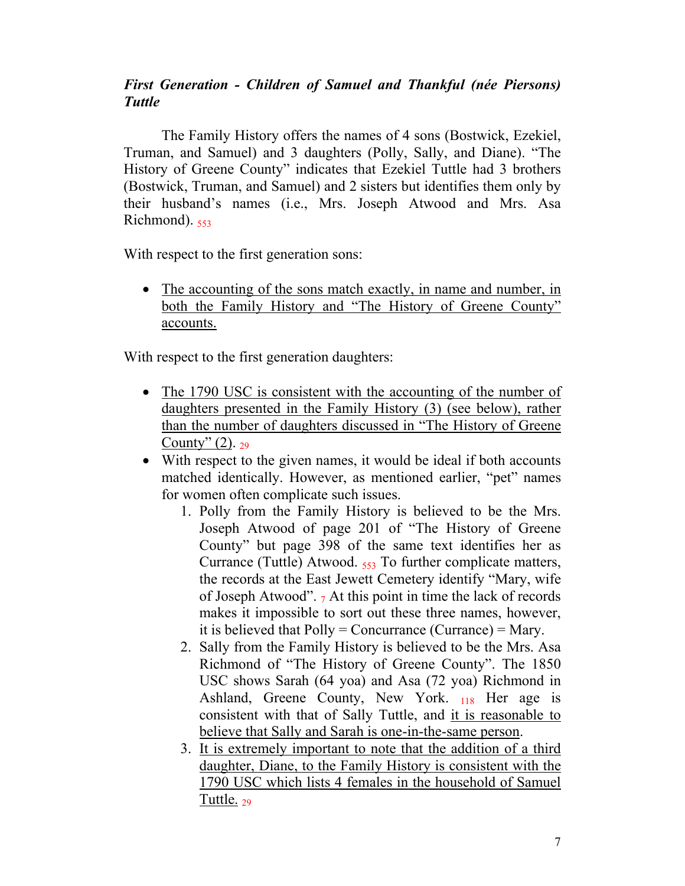## *First Generation - Children of Samuel and Thankful (née Piersons) Tuttle*

 The Family History offers the names of 4 sons (Bostwick, Ezekiel, Truman, and Samuel) and 3 daughters (Polly, Sally, and Diane). "The History of Greene County" indicates that Ezekiel Tuttle had 3 brothers (Bostwick, Truman, and Samuel) and 2 sisters but identifies them only by their husband's names (i.e., Mrs. Joseph Atwood and Mrs. Asa Richmond).  $553$ 

With respect to the first generation sons:

• The accounting of the sons match exactly, in name and number, in both the Family History and "The History of Greene County" accounts.

With respect to the first generation daughters:

- The 1790 USC is consistent with the accounting of the number of daughters presented in the Family History (3) (see below), rather than the number of daughters discussed in "The History of Greene County"  $(2)$ . 29
- With respect to the given names, it would be ideal if both accounts matched identically. However, as mentioned earlier, "pet" names for women often complicate such issues.
	- 1. Polly from the Family History is believed to be the Mrs. Joseph Atwood of page 201 of "The History of Greene County" but page 398 of the same text identifies her as Currance (Tuttle) Atwood. 553 To further complicate matters, the records at the East Jewett Cemetery identify "Mary, wife of Joseph Atwood".  $_7$  At this point in time the lack of records makes it impossible to sort out these three names, however, it is believed that  $\text{Poly} = \text{Concurrency}$  (Currance) = Mary.
	- 2. Sally from the Family History is believed to be the Mrs. Asa Richmond of "The History of Greene County". The 1850 USC shows Sarah (64 yoa) and Asa (72 yoa) Richmond in Ashland, Greene County, New York. 118 Her age is consistent with that of Sally Tuttle, and it is reasonable to believe that Sally and Sarah is one-in-the-same person.
	- 3. It is extremely important to note that the addition of a third daughter, Diane, to the Family History is consistent with the 1790 USC which lists 4 females in the household of Samuel Tuttle.  $_{29}$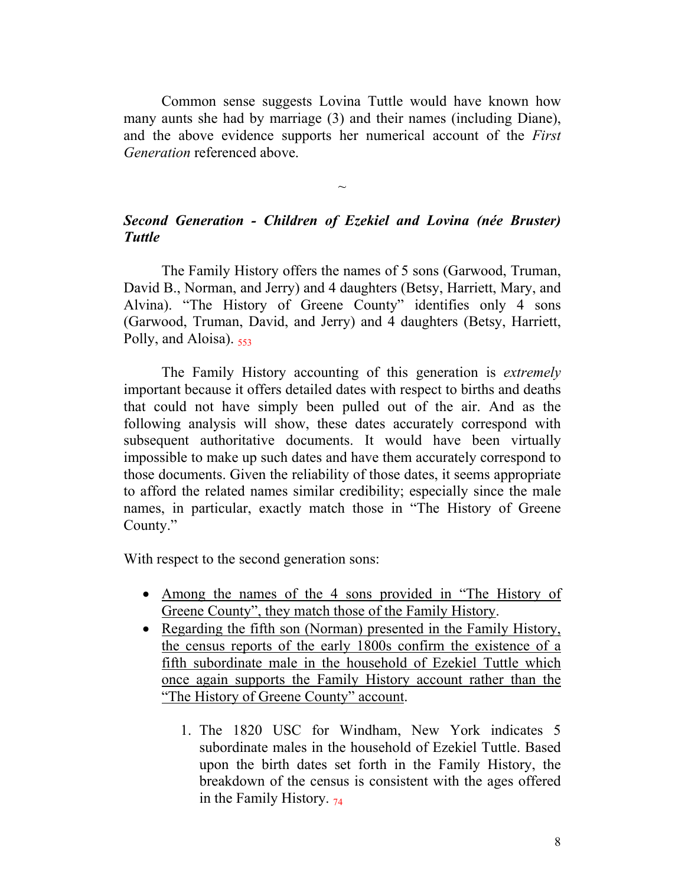Common sense suggests Lovina Tuttle would have known how many aunts she had by marriage (3) and their names (including Diane), and the above evidence supports her numerical account of the *First Generation* referenced above.

## *Second Generation - Children of Ezekiel and Lovina (née Bruster) Tuttle*

 $\sim$ 

The Family History offers the names of 5 sons (Garwood, Truman, David B., Norman, and Jerry) and 4 daughters (Betsy, Harriett, Mary, and Alvina). "The History of Greene County" identifies only 4 sons (Garwood, Truman, David, and Jerry) and 4 daughters (Betsy, Harriett, Polly, and Aloisa). 553

 The Family History accounting of this generation is *extremely* important because it offers detailed dates with respect to births and deaths that could not have simply been pulled out of the air. And as the following analysis will show, these dates accurately correspond with subsequent authoritative documents. It would have been virtually impossible to make up such dates and have them accurately correspond to those documents. Given the reliability of those dates, it seems appropriate to afford the related names similar credibility; especially since the male names, in particular, exactly match those in "The History of Greene County."

With respect to the second generation sons:

- Among the names of the 4 sons provided in "The History of Greene County", they match those of the Family History.
- Regarding the fifth son (Norman) presented in the Family History, the census reports of the early 1800s confirm the existence of a fifth subordinate male in the household of Ezekiel Tuttle which once again supports the Family History account rather than the "The History of Greene County" account.
	- 1. The 1820 USC for Windham, New York indicates 5 subordinate males in the household of Ezekiel Tuttle. Based upon the birth dates set forth in the Family History, the breakdown of the census is consistent with the ages offered in the Family History.  $74$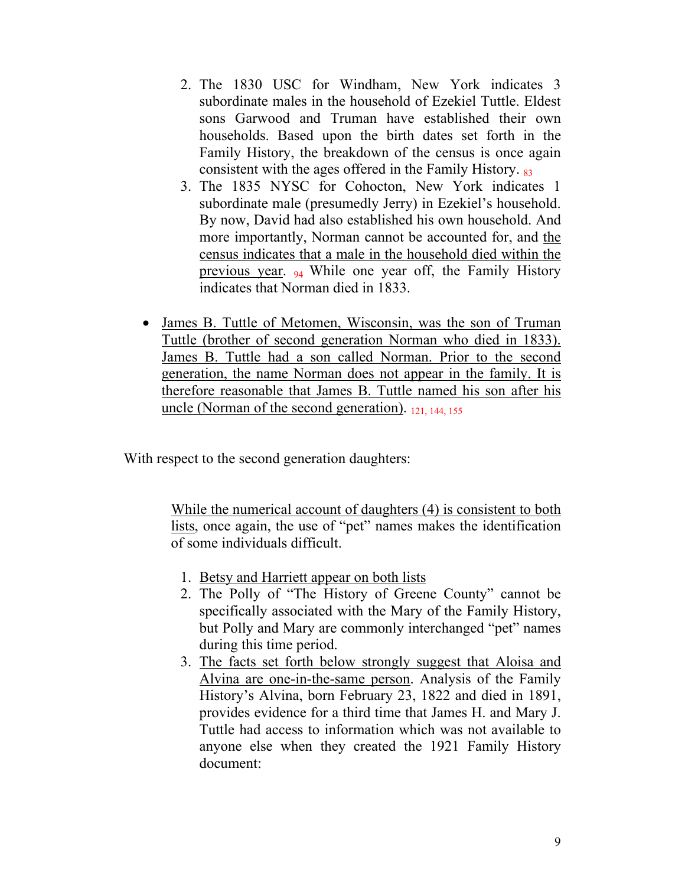- 2. The 1830 USC for Windham, New York indicates 3 subordinate males in the household of Ezekiel Tuttle. Eldest sons Garwood and Truman have established their own households. Based upon the birth dates set forth in the Family History, the breakdown of the census is once again consistent with the ages offered in the Family History. 83
- 3. The 1835 NYSC for Cohocton, New York indicates 1 subordinate male (presumedly Jerry) in Ezekiel's household. By now, David had also established his own household. And more importantly, Norman cannot be accounted for, and the census indicates that a male in the household died within the previous year. 94 While one year off, the Family History indicates that Norman died in 1833.
- James B. Tuttle of Metomen, Wisconsin, was the son of Truman Tuttle (brother of second generation Norman who died in 1833). James B. Tuttle had a son called Norman. Prior to the second generation, the name Norman does not appear in the family. It is therefore reasonable that James B. Tuttle named his son after his uncle (Norman of the second generation). 121, 144, 155

With respect to the second generation daughters:

While the numerical account of daughters (4) is consistent to both lists, once again, the use of "pet" names makes the identification of some individuals difficult.

- 1. Betsy and Harriett appear on both lists
- 2. The Polly of "The History of Greene County" cannot be specifically associated with the Mary of the Family History, but Polly and Mary are commonly interchanged "pet" names during this time period.
- 3. The facts set forth below strongly suggest that Aloisa and Alvina are one-in-the-same person. Analysis of the Family History's Alvina, born February 23, 1822 and died in 1891, provides evidence for a third time that James H. and Mary J. Tuttle had access to information which was not available to anyone else when they created the 1921 Family History document: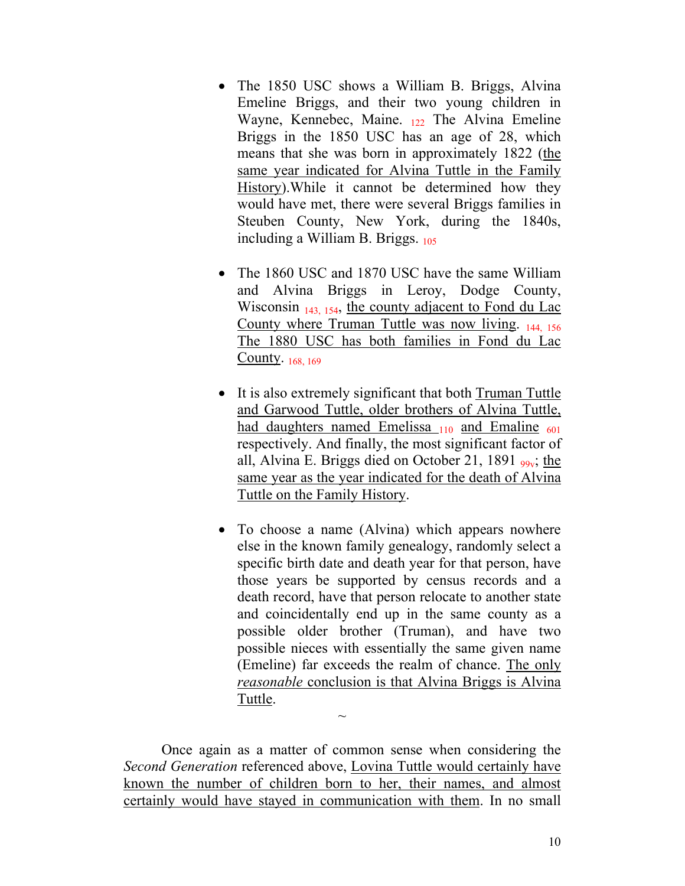- The 1850 USC shows a William B. Briggs, Alvina Emeline Briggs, and their two young children in Wayne, Kennebec, Maine.  $_{122}$  The Alvina Emeline Briggs in the 1850 USC has an age of 28, which means that she was born in approximately 1822 (the same year indicated for Alvina Tuttle in the Family History).While it cannot be determined how they would have met, there were several Briggs families in Steuben County, New York, during the 1840s, including a William B. Briggs. 105
- The 1860 USC and 1870 USC have the same William and Alvina Briggs in Leroy, Dodge County, Wisconsin  $_{143, 154}$ , the county adjacent to Fond du Lac County where Truman Tuttle was now living. 144, 156 The 1880 USC has both families in Fond du Lac County. 168, 169
- It is also extremely significant that both Truman Tuttle and Garwood Tuttle, older brothers of Alvina Tuttle, had daughters named Emelissa  $_{110}$  and Emaline  $_{601}$ respectively. And finally, the most significant factor of all, Alvina E. Briggs died on October 21, 1891  $_{99y}$ ; the same year as the year indicated for the death of Alvina Tuttle on the Family History.
- To choose a name (Alvina) which appears nowhere else in the known family genealogy, randomly select a specific birth date and death year for that person, have those years be supported by census records and a death record, have that person relocate to another state and coincidentally end up in the same county as a possible older brother (Truman), and have two possible nieces with essentially the same given name (Emeline) far exceeds the realm of chance. The only *reasonable* conclusion is that Alvina Briggs is Alvina Tuttle.

Once again as a matter of common sense when considering the *Second Generation* referenced above, Lovina Tuttle would certainly have known the number of children born to her, their names, and almost certainly would have stayed in communication with them. In no small

 $\sim$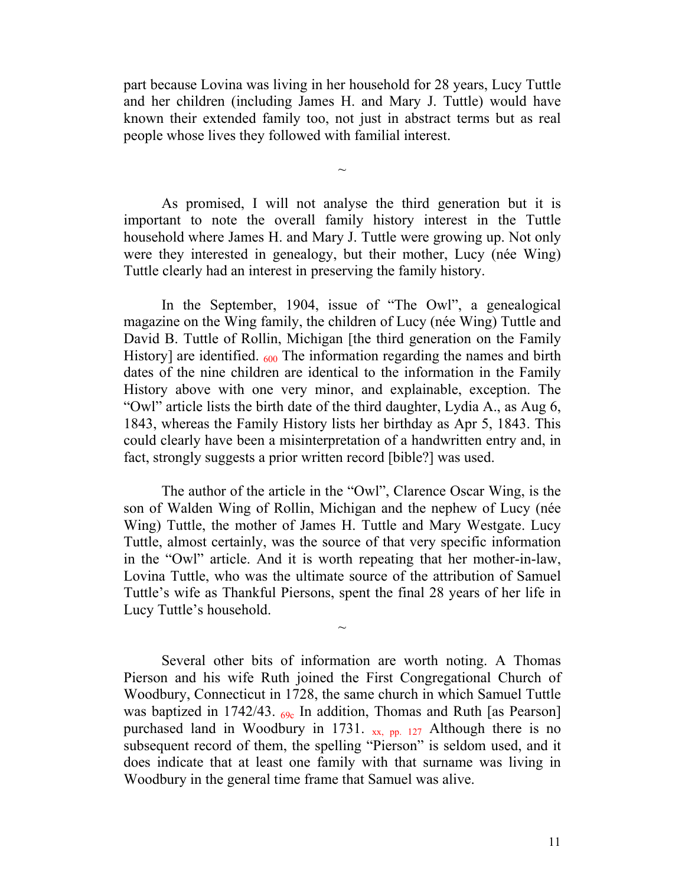part because Lovina was living in her household for 28 years, Lucy Tuttle and her children (including James H. and Mary J. Tuttle) would have known their extended family too, not just in abstract terms but as real people whose lives they followed with familial interest.

 $\sim$ 

As promised, I will not analyse the third generation but it is important to note the overall family history interest in the Tuttle household where James H. and Mary J. Tuttle were growing up. Not only were they interested in genealogy, but their mother, Lucy (née Wing) Tuttle clearly had an interest in preserving the family history.

In the September, 1904, issue of "The Owl", a genealogical magazine on the Wing family, the children of Lucy (née Wing) Tuttle and David B. Tuttle of Rollin, Michigan [the third generation on the Family History] are identified.  $600$  The information regarding the names and birth dates of the nine children are identical to the information in the Family History above with one very minor, and explainable, exception. The "Owl" article lists the birth date of the third daughter, Lydia A., as Aug 6, 1843, whereas the Family History lists her birthday as Apr 5, 1843. This could clearly have been a misinterpretation of a handwritten entry and, in fact, strongly suggests a prior written record [bible?] was used.

The author of the article in the "Owl", Clarence Oscar Wing, is the son of Walden Wing of Rollin, Michigan and the nephew of Lucy (née Wing) Tuttle, the mother of James H. Tuttle and Mary Westgate. Lucy Tuttle, almost certainly, was the source of that very specific information in the "Owl" article. And it is worth repeating that her mother-in-law, Lovina Tuttle, who was the ultimate source of the attribution of Samuel Tuttle's wife as Thankful Piersons, spent the final 28 years of her life in Lucy Tuttle's household.

 $\sim$ 

 Several other bits of information are worth noting. A Thomas Pierson and his wife Ruth joined the First Congregational Church of Woodbury, Connecticut in 1728, the same church in which Samuel Tuttle was baptized in 1742/43.  $_{69c}$  In addition, Thomas and Ruth [as Pearson] purchased land in Woodbury in 1731.  $_{xx, pp. 127}$  Although there is no subsequent record of them, the spelling "Pierson" is seldom used, and it does indicate that at least one family with that surname was living in Woodbury in the general time frame that Samuel was alive.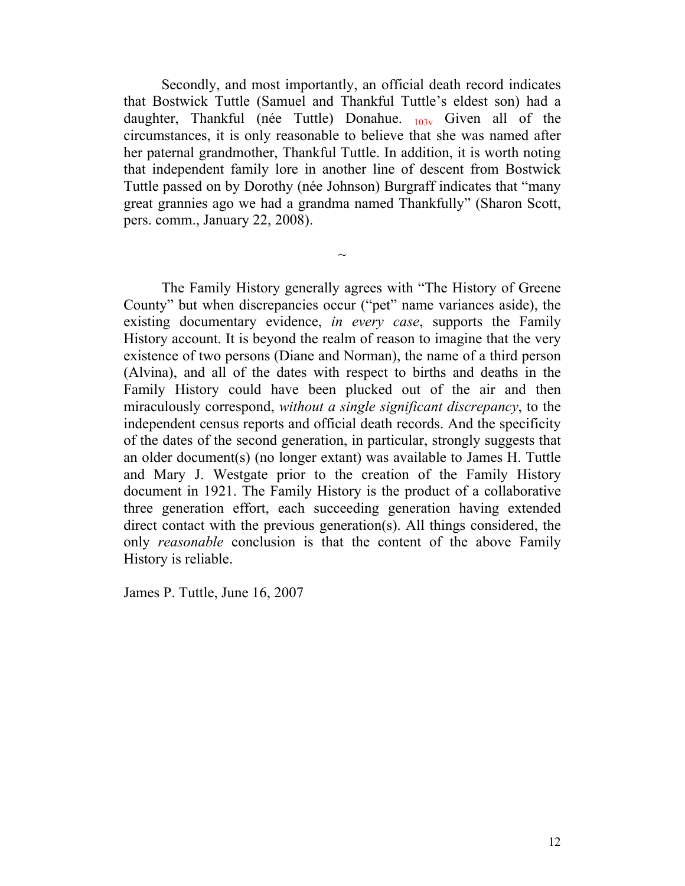Secondly, and most importantly, an official death record indicates that Bostwick Tuttle (Samuel and Thankful Tuttle's eldest son) had a daughter, Thankful (née Tuttle) Donahue.  $_{103y}$  Given all of the circumstances, it is only reasonable to believe that she was named after her paternal grandmother, Thankful Tuttle. In addition, it is worth noting that independent family lore in another line of descent from Bostwick Tuttle passed on by Dorothy (née Johnson) Burgraff indicates that "many great grannies ago we had a grandma named Thankfully" (Sharon Scott, pers. comm., January 22, 2008).

 $\sim$ 

 The Family History generally agrees with "The History of Greene County" but when discrepancies occur ("pet" name variances aside), the existing documentary evidence, *in every case*, supports the Family History account. It is beyond the realm of reason to imagine that the very existence of two persons (Diane and Norman), the name of a third person (Alvina), and all of the dates with respect to births and deaths in the Family History could have been plucked out of the air and then miraculously correspond, *without a single significant discrepancy*, to the independent census reports and official death records. And the specificity of the dates of the second generation, in particular, strongly suggests that an older document(s) (no longer extant) was available to James H. Tuttle and Mary J. Westgate prior to the creation of the Family History document in 1921. The Family History is the product of a collaborative three generation effort, each succeeding generation having extended direct contact with the previous generation(s). All things considered, the only *reasonable* conclusion is that the content of the above Family History is reliable.

James P. Tuttle, June 16, 2007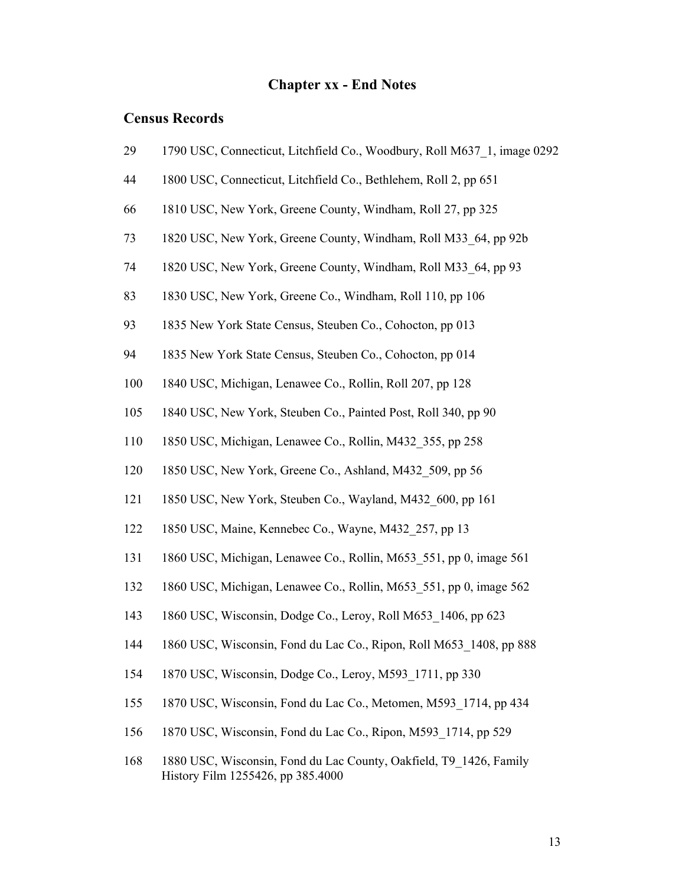### **Chapter xx - End Notes**

### **Census Records**

| 29 |  | 1790 USC, Connecticut, Litchfield Co., Woodbury, Roll M637_1, image 0292 |  |  |
|----|--|--------------------------------------------------------------------------|--|--|
|    |  |                                                                          |  |  |

- 44 1800 USC, Connecticut, Litchfield Co., Bethlehem, Roll 2, pp 651
- 66 1810 USC, New York, Greene County, Windham, Roll 27, pp 325
- 73 1820 USC, New York, Greene County, Windham, Roll M33\_64, pp 92b
- 74 1820 USC, New York, Greene County, Windham, Roll M33\_64, pp 93
- 83 1830 USC, New York, Greene Co., Windham, Roll 110, pp 106
- 93 1835 New York State Census, Steuben Co., Cohocton, pp 013
- 94 1835 New York State Census, Steuben Co., Cohocton, pp 014
- 100 1840 USC, Michigan, Lenawee Co., Rollin, Roll 207, pp 128
- 105 1840 USC, New York, Steuben Co., Painted Post, Roll 340, pp 90
- 110 1850 USC, Michigan, Lenawee Co., Rollin, M432\_355, pp 258
- 120 1850 USC, New York, Greene Co., Ashland, M432\_509, pp 56
- 121 1850 USC, New York, Steuben Co., Wayland, M432\_600, pp 161
- 122 1850 USC, Maine, Kennebec Co., Wayne, M432\_257, pp 13
- 131 1860 USC, Michigan, Lenawee Co., Rollin, M653\_551, pp 0, image 561
- 132 1860 USC, Michigan, Lenawee Co., Rollin, M653\_551, pp 0, image 562
- 143 1860 USC, Wisconsin, Dodge Co., Leroy, Roll M653\_1406, pp 623
- 144 1860 USC, Wisconsin, Fond du Lac Co., Ripon, Roll M653\_1408, pp 888
- 154 1870 USC, Wisconsin, Dodge Co., Leroy, M593\_1711, pp 330
- 155 1870 USC, Wisconsin, Fond du Lac Co., Metomen, M593\_1714, pp 434
- 156 1870 USC, Wisconsin, Fond du Lac Co., Ripon, M593\_1714, pp 529
- 168 1880 USC, Wisconsin, Fond du Lac County, Oakfield, T9\_1426, Family History Film 1255426, pp 385.4000